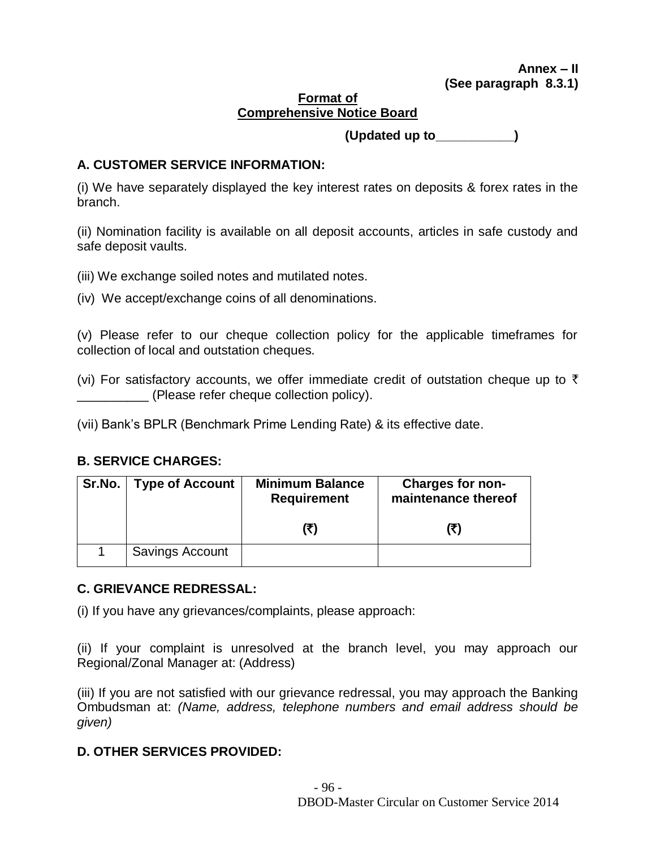#### **Format of Comprehensive Notice Board**

 **(Updated up to\_\_\_\_\_\_\_\_\_\_\_)**

# **A. CUSTOMER SERVICE INFORMATION:**

(i) We have separately displayed the key interest rates on deposits & forex rates in the branch.

(ii) Nomination facility is available on all deposit accounts, articles in safe custody and safe deposit vaults.

- (iii) We exchange soiled notes and mutilated notes.
- (iv) We accept/exchange coins of all denominations.

(v) Please refer to our cheque collection policy for the applicable timeframes for collection of local and outstation cheques.

(vi) For satisfactory accounts, we offer immediate credit of outstation cheque up to  $\bar{\tau}$ \_\_\_\_\_\_\_\_\_\_ (Please refer cheque collection policy).

(vii) Bank's BPLR (Benchmark Prime Lending Rate) & its effective date.

# **B. SERVICE CHARGES:**

| Sr.No.   Type of Account | <b>Minimum Balance</b><br><b>Requirement</b> | <b>Charges for non-</b><br>maintenance thereof |
|--------------------------|----------------------------------------------|------------------------------------------------|
|                          | (₹)                                          | (₹)                                            |
| Savings Account          |                                              |                                                |

# **C. GRIEVANCE REDRESSAL:**

(i) If you have any grievances/complaints, please approach:

(ii) If your complaint is unresolved at the branch level, you may approach our Regional/Zonal Manager at: (Address)

(iii) If you are not satisfied with our grievance redressal, you may approach the Banking Ombudsman at: *(Name, address, telephone numbers and email address should be given)*

#### **D. OTHER SERVICES PROVIDED:**